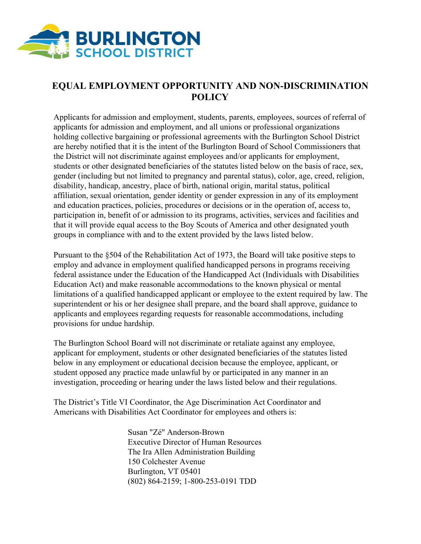

## **EQUAL EMPLOYMENT OPPORTUNITY AND NON-DISCRIMINATION POLICY**

Applicants for admission and employment, students, parents, employees, sources of referral of applicants for admission and employment, and all unions or professional organizations holding collective bargaining or professional agreements with the Burlington School District are hereby notified that it is the intent of the Burlington Board of School Commissioners that the District will not discriminate against employees and/or applicants for employment, students or other designated beneficiaries of the statutes listed below on the basis of race, sex, gender (including but not limited to pregnancy and parental status), color, age, creed, religion, disability, handicap, ancestry, place of birth, national origin, marital status, political affiliation, sexual orientation, gender identity or gender expression in any of its employment and education practices, policies, procedures or decisions or in the operation of, access to, participation in, benefit of or admission to its programs, activities, services and facilities and that it will provide equal access to the Boy Scouts of America and other designated youth groups in compliance with and to the extent provided by the laws listed below.

Pursuant to the §504 of the Rehabilitation Act of 1973, the Board will take positive steps to employ and advance in employment qualified handicapped persons in programs receiving federal assistance under the Education of the Handicapped Act (Individuals with Disabilities Education Act) and make reasonable accommodations to the known physical or mental limitations of a qualified handicapped applicant or employee to the extent required by law. The superintendent or his or her designee shall prepare, and the board shall approve, guidance to applicants and employees regarding requests for reasonable accommodations, including provisions for undue hardship.

The Burlington School Board will not discriminate or retaliate against any employee, applicant for employment, students or other designated beneficiaries of the statutes listed below in any employment or educational decision because the employee, applicant, or student opposed any practice made unlawful by or participated in any manner in an investigation, proceeding or hearing under the laws listed below and their regulations.

The District's Title VI Coordinator, the Age Discrimination Act Coordinator and Americans with Disabilities Act Coordinator for employees and others is:

> Susan "Zé" Anderson-Brown Executive Director of Human Resources The Ira Allen Administration Building 150 Colchester Avenue Burlington, VT 05401 (802) 864-2159; 1-800-253-0191 TDD